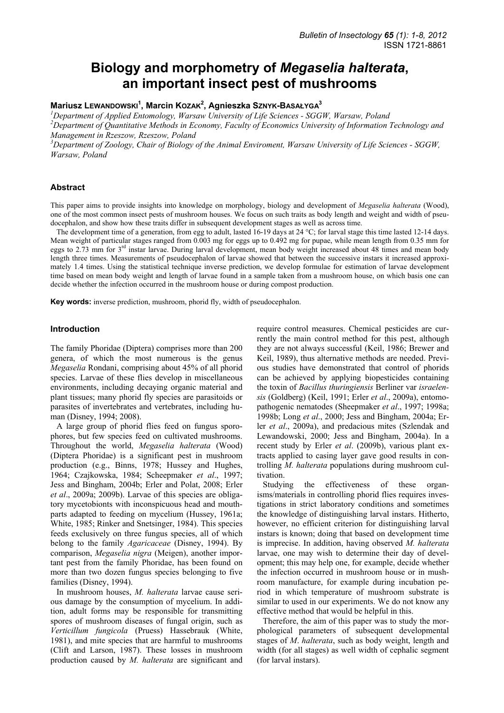# **Biology and morphometry of** *Megaselia halterata***, an important insect pest of mushrooms**

**Mariusz LEWANDOWSKI<sup>1</sup> , Marcin KOZAK2 , Agnieszka SZNYK-BASAŁYGA3**

*1 Department of Applied Entomology, Warsaw University of Life Sciences - SGGW, Warsaw, Poland* 

*2 Department of Quantitative Methods in Economy, Faculty of Economics University of Information Technology and Management in Rzeszow, Rzeszow, Poland*

*3 Department of Zoology, Chair of Biology of the Animal Enviroment, Warsaw University of Life Sciences - SGGW, Warsaw, Poland* 

## **Abstract**

This paper aims to provide insights into knowledge on morphology, biology and development of *Megaselia halterata* (Wood), one of the most common insect pests of mushroom houses. We focus on such traits as body length and weight and width of pseudocephalon, and show how these traits differ in subsequent development stages as well as across time.

The development time of a generation, from egg to adult, lasted 16-19 days at 24 °C; for larval stage this time lasted 12-14 days. Mean weight of particular stages ranged from 0.003 mg for eggs up to 0.492 mg for pupae, while mean length from 0.35 mm for eggs to 2.73 mm for  $3<sup>rd</sup>$  instar larvae. During larval development, mean body weight increased about 48 times and mean body length three times. Measurements of pseudocephalon of larvae showed that between the successive instars it increased approximately 1.4 times. Using the statistical technique inverse prediction, we develop formulae for estimation of larvae development time based on mean body weight and length of larvae found in a sample taken from a mushroom house, on which basis one can decide whether the infection occurred in the mushroom house or during compost production.

**Key words:** inverse prediction, mushroom, phorid fly, width of pseudocephalon.

## **Introduction**

The family Phoridae (Diptera) comprises more than 200 genera, of which the most numerous is the genus *Megaselia* Rondani, comprising about 45% of all phorid species. Larvae of these flies develop in miscellaneous environments, including decaying organic material and plant tissues; many phorid fly species are parasitoids or parasites of invertebrates and vertebrates, including human (Disney, 1994; 2008).

A large group of phorid flies feed on fungus sporophores, but few species feed on cultivated mushrooms. Throughout the world, *Megaselia halterata* (Wood) (Diptera Phoridae) is a significant pest in mushroom production (e.g., Binns, 1978; Hussey and Hughes, 1964; Czajkowska, 1984; Scheepmaker *et al*., 1997; Jess and Bingham, 2004b; Erler and Polat, 2008; Erler *et al*., 2009a; 2009b). Larvae of this species are obligatory mycetobionts with inconspicuous head and mouthparts adapted to feeding on mycelium (Hussey, 1961a; White, 1985; Rinker and Snetsinger, 1984). This species feeds exclusively on three fungus species, all of which belong to the family *Agaricaceae* (Disney, 1994). By comparison, *Megaselia nigra* (Meigen), another important pest from the family Phoridae, has been found on more than two dozen fungus species belonging to five families (Disney, 1994).

In mushroom houses, *M. halterata* larvae cause serious damage by the consumption of mycelium. In addition, adult forms may be responsible for transmitting spores of mushroom diseases of fungal origin, such as *Verticillum fungicola* (Pruess) Hassebrauk (White, 1981), and mite species that are harmful to mushrooms (Clift and Larson, 1987). These losses in mushroom production caused by *M. halterata* are significant and require control measures. Chemical pesticides are currently the main control method for this pest, although they are not always successful (Keil, 1986; Brewer and Keil, 1989), thus alternative methods are needed. Previous studies have demonstrated that control of phorids can be achieved by applying biopesticides containing the toxin of *Bacillus thuringiensis* Berliner var *israelensis* (Goldberg) (Keil, 1991; Erler *et al*., 2009a), entomopathogenic nematodes (Sheepmaker *et al*., 1997; 1998a; 1998b; Long *et al*., 2000; Jess and Bingham, 2004a; Erler *et al*., 2009a), and predacious mites (Szlendak and Lewandowski, 2000; Jess and Bingham, 2004a). In a recent study by Erler *et al*. (2009b), various plant extracts applied to casing layer gave good results in controlling *M. halterata* populations during mushroom cultivation.

Studying the effectiveness of these organisms/materials in controlling phorid flies requires investigations in strict laboratory conditions and sometimes the knowledge of distinguishing larval instars. Hitherto, however, no efficient criterion for distinguishing larval instars is known; doing that based on development time is imprecise. In addition, having observed *M. halterata* larvae, one may wish to determine their day of development; this may help one, for example, decide whether the infection occurred in mushroom house or in mushroom manufacture, for example during incubation period in which temperature of mushroom substrate is similar to used in our experiments. We do not know any effective method that would be helpful in this.

Therefore, the aim of this paper was to study the morphological parameters of subsequent developmental stages of *M*. *halterata*, such as body weight, length and width (for all stages) as well width of cephalic segment (for larval instars).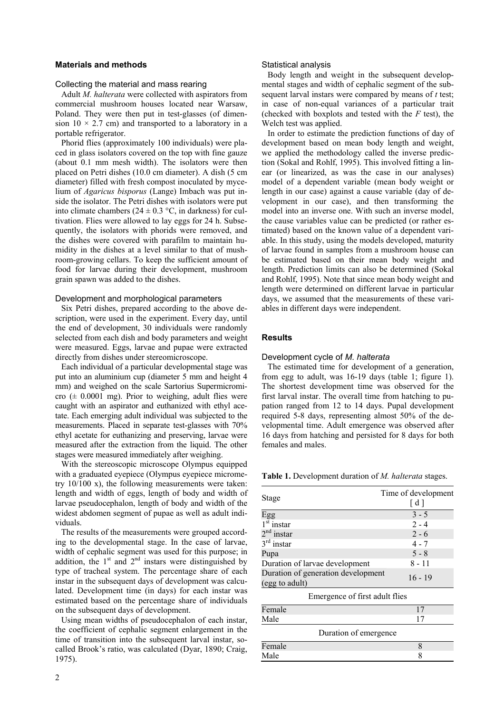#### **Materials and methods**

#### Collecting the material and mass rearing

Adult *M. halterata* were collected with aspirators from commercial mushroom houses located near Warsaw, Poland. They were then put in test-glasses (of dimension  $10 \times 2.7$  cm) and transported to a laboratory in a portable refrigerator.

Phorid flies (approximately 100 individuals) were placed in glass isolators covered on the top with fine gauze (about 0.1 mm mesh width). The isolators were then placed on Petri dishes (10.0 cm diameter). A dish (5 cm diameter) filled with fresh compost inoculated by mycelium of *Agaricus bisporus* (Lange) Imbach was put inside the isolator. The Petri dishes with isolators were put into climate chambers ( $24 \pm 0.3$  °C, in darkness) for cultivation. Flies were allowed to lay eggs for 24 h. Subsequently, the isolators with phorids were removed, and the dishes were covered with parafilm to maintain humidity in the dishes at a level similar to that of mushroom-growing cellars. To keep the sufficient amount of food for larvae during their development, mushroom grain spawn was added to the dishes.

#### Development and morphological parameters

Six Petri dishes, prepared according to the above description, were used in the experiment. Every day, until the end of development, 30 individuals were randomly selected from each dish and body parameters and weight were measured. Eggs, larvae and pupae were extracted directly from dishes under stereomicroscope.

Each individual of a particular developmental stage was put into an aluminium cup (diameter 5 mm and height 4 mm) and weighed on the scale Sartorius Supermicromicro  $(\pm 0.0001 \text{ mg})$ . Prior to weighing, adult flies were caught with an aspirator and euthanized with ethyl acetate. Each emerging adult individual was subjected to the measurements. Placed in separate test-glasses with 70% ethyl acetate for euthanizing and preserving, larvae were measured after the extraction from the liquid. The other stages were measured immediately after weighing.

With the stereoscopic microscope Olympus equipped with a graduated eyepiece (Olympus eyepiece micrometry 10/100 x), the following measurements were taken: length and width of eggs, length of body and width of larvae pseudocephalon, length of body and width of the widest abdomen segment of pupae as well as adult individuals.

The results of the measurements were grouped according to the developmental stage. In the case of larvae, width of cephalic segment was used for this purpose; in addition, the  $1<sup>st</sup>$  and  $2<sup>nd</sup>$  instars were distinguished by type of tracheal system. The percentage share of each instar in the subsequent days of development was calculated. Development time (in days) for each instar was estimated based on the percentage share of individuals on the subsequent days of development.

Using mean widths of pseudocephalon of each instar, the coefficient of cephalic segment enlargement in the time of transition into the subsequent larval instar, socalled Brook's ratio, was calculated (Dyar, 1890; Craig, 1975).

## Statistical analysis

Body length and weight in the subsequent developmental stages and width of cephalic segment of the subsequent larval instars were compared by means of *t* test; in case of non-equal variances of a particular trait (checked with boxplots and tested with the *F* test), the Welch test was applied.

In order to estimate the prediction functions of day of development based on mean body length and weight, we applied the methodology called the inverse prediction (Sokal and Rohlf, 1995). This involved fitting a linear (or linearized, as was the case in our analyses) model of a dependent variable (mean body weight or length in our case) against a cause variable (day of development in our case), and then transforming the model into an inverse one. With such an inverse model, the cause variables value can be predicted (or rather estimated) based on the known value of a dependent variable. In this study, using the models developed, maturity of larvae found in samples from a mushroom house can be estimated based on their mean body weight and length. Prediction limits can also be determined (Sokal and Rohlf, 1995). Note that since mean body weight and length were determined on different larvae in particular days, we assumed that the measurements of these variables in different days were independent.

## **Results**

#### Development cycle of *M. halterata*

The estimated time for development of a generation, from egg to adult, was 16-19 days (table 1; figure 1). The shortest development time was observed for the first larval instar. The overall time from hatching to pupation ranged from 12 to 14 days. Pupal development required 5-8 days, representing almost 50% of the developmental time. Adult emergence was observed after 16 days from hatching and persisted for 8 days for both females and males.

**Table 1.** Development duration of *M. halterata* stages.

|                                    | Time of development |  |  |  |  |  |
|------------------------------------|---------------------|--|--|--|--|--|
| Stage                              | [ d ]               |  |  |  |  |  |
| Egg                                | $3 - 5$             |  |  |  |  |  |
| $1st$ instar                       | $2 - 4$             |  |  |  |  |  |
| $2nd$ instar                       | $2 - 6$             |  |  |  |  |  |
| $3rd$ instar                       | $4 - 7$             |  |  |  |  |  |
| Pupa                               | $5 - 8$             |  |  |  |  |  |
| Duration of larvae development     | $8 - 11$            |  |  |  |  |  |
| Duration of generation development |                     |  |  |  |  |  |
| (egg to adult)                     | $16 - 19$           |  |  |  |  |  |
| Emergence of first adult flies     |                     |  |  |  |  |  |
| Female                             | 17                  |  |  |  |  |  |
| Male                               | 17                  |  |  |  |  |  |
| Duration of emergence              |                     |  |  |  |  |  |
| Female                             | 8                   |  |  |  |  |  |
| Male                               | 8                   |  |  |  |  |  |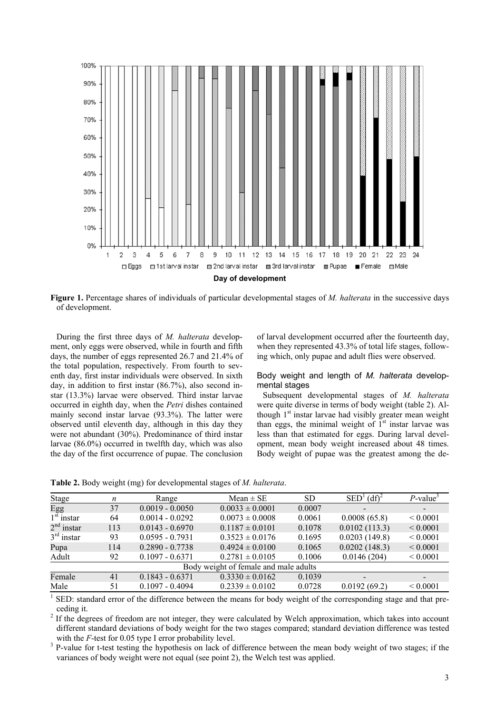

**Figure 1.** Percentage shares of individuals of particular developmental stages of *M. halterata* in the successive days of development.

During the first three days of *M. halterata* development, only eggs were observed, while in fourth and fifth days, the number of eggs represented 26.7 and 21.4% of the total population, respectively. From fourth to seventh day, first instar individuals were observed. In sixth day, in addition to first instar (86.7%), also second instar (13.3%) larvae were observed. Third instar larvae occurred in eighth day, when the *Petri* dishes contained mainly second instar larvae (93.3%). The latter were observed until eleventh day, although in this day they were not abundant (30%). Predominance of third instar larvae (86.0%) occurred in twelfth day, which was also the day of the first occurrence of pupae. The conclusion of larval development occurred after the fourteenth day, when they represented 43.3% of total life stages, following which, only pupae and adult flies were observed.

Body weight and length of *M. halterata* developmental stages

Subsequent developmental stages of *M. halterata* were quite diverse in terms of body weight (table 2). Although 1<sup>st</sup> instar larvae had visibly greater mean weight than eggs, the minimal weight of  $1<sup>st</sup>$  instar larvae was less than that estimated for eggs. During larval development, mean body weight increased about 48 times. Body weight of pupae was the greatest among the de-

**Table 2.** Body weight (mg) for developmental stages of *M. halterata*.

| Stage                                 | n   | Range             | $Mean \pm SE$       | SD.    | $\text{SED}^1 \text{ (df)}^2$ | $P$ -value <sup>3</sup> |  |
|---------------------------------------|-----|-------------------|---------------------|--------|-------------------------------|-------------------------|--|
| Egg                                   | 37  | $0.0019 - 0.0050$ | $0.0033 \pm 0.0001$ | 0.0007 |                               |                         |  |
| $1st$ instar                          | 64  | $0.0014 - 0.0292$ | $0.0073 \pm 0.0008$ | 0.0061 | 0.0008(65.8)                  | ${}_{0.0001}$           |  |
| $2nd$ instar                          | 113 | $0.0143 - 0.6970$ | $0.1187 \pm 0.0101$ | 0.1078 | 0.0102(113.3)                 | ${}< 0.0001$            |  |
| $3rd$ instar                          | 93  | $0.0595 - 0.7931$ | $0.3523 \pm 0.0176$ | 0.1695 | 0.0203(149.8)                 | ${}< 0.0001$            |  |
| Pupa                                  | 114 | $0.2890 - 0.7738$ | $0.4924 \pm 0.0100$ | 0.1065 | 0.0202(148.3)                 | ${}_{0.0001}$           |  |
| Adult                                 | 92  | $0.1097 - 0.6371$ | $0.2781 \pm 0.0105$ | 0.1006 | 0.0146(204)                   | ${}_{0.0001}$           |  |
| Body weight of female and male adults |     |                   |                     |        |                               |                         |  |
| Female                                | 41  | $0.1843 - 0.6371$ | $0.3330 \pm 0.0162$ | 0.1039 |                               |                         |  |
| Male                                  | 51  | $0.1097 - 0.4094$ | $0.2339 \pm 0.0102$ | 0.0728 | 0.0192(69.2)                  | ${}_{0.0001}$           |  |

<sup>1</sup> SED: standard error of the difference between the means for body weight of the corresponding stage and that preceding it.<br><sup>2</sup> If the deg

 If the degrees of freedom are not integer, they were calculated by Welch approximation, which takes into account different standard deviations of body weight for the two stages compared; standard deviation difference was tested with the  $F$ -test for 0.05 type I error probability level.

 P-value for t-test testing the hypothesis on lack of difference between the mean body weight of two stages; if the variances of body weight were not equal (see point 2), the Welch test was applied.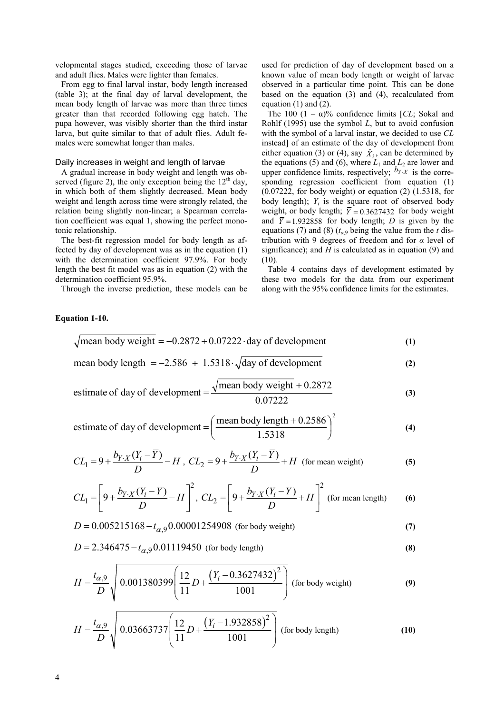velopmental stages studied, exceeding those of larvae and adult flies. Males were lighter than females.

From egg to final larval instar, body length increased (table 3); at the final day of larval development, the mean body length of larvae was more than three times greater than that recorded following egg hatch. The pupa however, was visibly shorter than the third instar larva, but quite similar to that of adult flies. Adult females were somewhat longer than males.

#### Daily increases in weight and length of larvae

A gradual increase in body weight and length was observed (figure 2), the only exception being the  $12<sup>th</sup>$  day, in which both of them slightly decreased. Mean body weight and length across time were strongly related, the relation being slightly non-linear; a Spearman correlation coefficient was equal 1, showing the perfect monotonic relationship.

The best-fit regression model for body length as affected by day of development was as in the equation (1) with the determination coefficient 97.9%. For body length the best fit model was as in equation (2) with the determination coefficient 95.9%.

Through the inverse prediction, these models can be

# **Equation 1-10.**

used for prediction of day of development based on a known value of mean body length or weight of larvae observed in a particular time point. This can be done based on the equation (3) and (4), recalculated from equation (1) and (2).

The 100  $(1 - \alpha)$ % confidence limits [*CL*; Sokal and Rohlf (1995) use the symbol *L*, but to avoid confusion with the symbol of a larval instar, we decided to use *CL* instead] of an estimate of the day of development from either equation (3) or (4), say  $\hat{X}_i$ , can be determined by the equations (5) and (6), where  $L_1$  and  $L_2$  are lower and upper confidence limits, respectively;  $b_{Y \cdot X}$  is the corresponding regression coefficient from equation (1) (0.07222, for body weight) or equation (2) (1.5318, for body length);  $Y_i$  is the square root of observed body weight, or body length;  $\overline{Y} = 0.3627432$  for body weight and  $\bar{Y} = 1.932858$  for body length; *D* is given by the equations (7) and (8) ( $t_{\alpha,9}$  being the value from the *t* distribution with 9 degrees of freedom and for *α* level of significance); and  $H$  is calculated as in equation  $(9)$  and (10).

Table 4 contains days of development estimated by these two models for the data from our experiment along with the 95% confidence limits for the estimates.

$$
\sqrt{\text{mean body weight}} = -0.2872 + 0.07222 \cdot \text{day of development}
$$
\n(1)

\nmean body length = -2.586 + 1.5318 \cdot \sqrt{\text{day of development}}

\n(2)

estimate of day of development = 
$$
\frac{\sqrt{\text{mean body weight} + 0.2872}}{0.07222}
$$
 (3)

estimate of day of development = 
$$
\left(\frac{\text{mean body length} + 0.2586}{1.5318}\right)^2
$$
 (4)

$$
CL_1 = 9 + \frac{b_{Y \cdot X}(Y_i - \overline{Y})}{D} - H
$$
, 
$$
CL_2 = 9 + \frac{b_{Y \cdot X}(Y_i - \overline{Y})}{D} + H
$$
 (for mean weight) (5)

$$
CL_1 = \left[9 + \frac{b_{Y \cdot X}(Y_i - \overline{Y})}{D} - H\right]^2, \ CL_2 = \left[9 + \frac{b_{Y \cdot X}(Y_i - \overline{Y})}{D} + H\right]^2 \text{ (for mean length)} \tag{6}
$$

$$
D = 0.005215168 - t_{\alpha,9} 0.00001254908
$$
 (for body weight) (7)

$$
D = 2.346475 - t_{\alpha,9} 0.01119450
$$
 (for body length) (8)

$$
H = \frac{t_{\alpha,9}}{D} \sqrt{0.001380399 \left(\frac{12}{11}D + \frac{(Y_i - 0.3627432)^2}{1001}\right) \text{ (for body weight)}}
$$
 (9)

$$
H = \frac{t_{\alpha,9}}{D} \sqrt{0.03663737 \left(\frac{12}{11}D + \frac{(Y_i - 1.932858)^2}{1001}\right)}
$$
 (for body length) (10)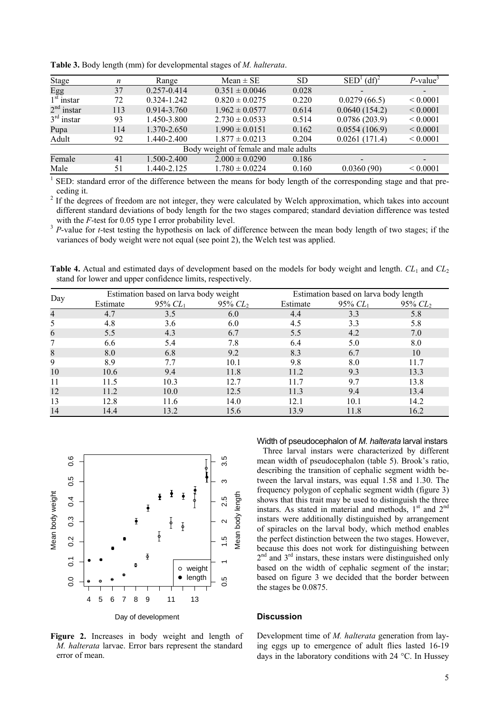| <b>Stage</b>                          | n   | Range           | $Mean \pm SE$      | <b>SD</b> | $(df)^2$<br>SED <sup>'</sup> | P-value <sup>3</sup> |  |
|---------------------------------------|-----|-----------------|--------------------|-----------|------------------------------|----------------------|--|
| Egg                                   | 37  | $0.257 - 0.414$ | $0.351 \pm 0.0046$ | 0.028     | $\overline{\phantom{a}}$     |                      |  |
| $1st$ instar                          | 72  | 0.324-1.242     | $0.820 \pm 0.0275$ | 0.220     | 0.0279(66.5)                 | ${}_{0.0001}$        |  |
| $2nd$ instar                          | 113 | $0.914 - 3.760$ | $1.962 \pm 0.0577$ | 0.614     | 0.0640(154.2)                | ${}_{0.0001}$        |  |
| $3rd$ instar                          | 93  | 1.450-3.800     | $2.730 \pm 0.0533$ | 0.514     | 0.0786(203.9)                | ${}< 0.0001$         |  |
| Pupa                                  | 114 | 1.370-2.650     | $1.990 \pm 0.0151$ | 0.162     | 0.0554(106.9)                | ${}_{0.0001}$        |  |
| Adult                                 | 92  | 1.440-2.400     | $1.877 \pm 0.0213$ | 0.204     | 0.0261(171.4)                | ${}< 0.0001$         |  |
| Body weight of female and male adults |     |                 |                    |           |                              |                      |  |
| Female                                | 41  | 1.500-2.400     | $2.000 \pm 0.0290$ | 0.186     | $\overline{\phantom{a}}$     |                      |  |
| Male                                  | 51  | $.440 - 2.125$  | $1.780 \pm 0.0224$ | 0.160     | 0.0360(90)                   | ${}_{0.0001}$        |  |

**Table 3.** Body length (mm) for developmental stages of *M. halterata*.

1 SED: standard error of the difference between the means for body length of the corresponding stage and that preceding it.<br><sup>2</sup> If the dee

 If the degrees of freedom are not integer, they were calculated by Welch approximation, which takes into account different standard deviations of body length for the two stages compared; standard deviation difference was tested with the *F*-test for 0.05 type I error probability level.<br><sup>3</sup> *P*-value for *t*-test testing the hypothesis on lack of difference between the mean body length of two stages; if the

variances of body weight were not equal (see point 2), the Welch test was applied.

**Table 4.** Actual and estimated days of development based on the models for body weight and length.  $CL_1$  and  $CL_2$ stand for lower and upper confidence limits, respectively.

|     |          | Estimation based on larva body weight |            |          | Estimation based on larva body length |               |  |
|-----|----------|---------------------------------------|------------|----------|---------------------------------------|---------------|--|
| Day | Estimate | 95% $CL_1$                            | 95% $CL_2$ | Estimate | 95% $CL_1$                            | $95\%$ $CL_2$ |  |
| 4   | 4.7      | 3.5                                   | 6.0        | 4.4      | 3.3                                   | 5.8           |  |
| 5   | 4.8      | 3.6                                   | 6.0        | 4.5      | 3.3                                   | 5.8           |  |
| 6   | 5.5      | 4.3                                   | 6.7        | 5.5      | 4.2                                   | 7.0           |  |
|     | 6.6      | 5.4                                   | 7.8        | 6.4      | 5.0                                   | 8.0           |  |
| 8   | 8.0      | 6.8                                   | 9.2        | 8.3      | 6.7                                   | 10            |  |
| 9   | 8.9      | 7.7                                   | 10.1       | 9.8      | 8.0                                   | 11.7          |  |
| 10  | 10.6     | 9.4                                   | 11.8       | 11.2     | 9.3                                   | 13.3          |  |
| 11  | 11.5     | 10.3                                  | 12.7       | 117      | 9.7                                   | 13.8          |  |
| 12  | 11.2     | 10.0                                  | 12.5       | 11.3     | 9.4                                   | 13.4          |  |
| 13  | 12.8     | 11.6                                  | 14.0       | 12.1     | 10.1                                  | 14.2          |  |
| 14  | 14.4     | 13.2                                  | 15.6       | 13.9     | 11.8                                  | 16.2          |  |



**Figure 2.** Increases in body weight and length of *M. halterata* larvae. Error bars represent the standard error of mean.

#### Width of pseudocephalon of *M. halterata* larval instars

Three larval instars were characterized by different mean width of pseudocephalon (table 5). Brook's ratio, describing the transition of cephalic segment width between the larval instars, was equal 1.58 and 1.30. The frequency polygon of cephalic segment width (figure 3) shows that this trait may be used to distinguish the three instars. As stated in material and methods,  $1<sup>st</sup>$  and  $2<sup>nd</sup>$ instars were additionally distinguished by arrangement of spiracles on the larval body, which method enables the perfect distinction between the two stages. However, because this does not work for distinguishing between  $2<sup>nd</sup>$  and  $3<sup>rd</sup>$  instars, these instars were distinguished only based on the width of cephalic segment of the instar; based on figure 3 we decided that the border between the stages be 0.0875.

# **Discussion**

Development time of *M. halterata* generation from laying eggs up to emergence of adult flies lasted 16-19 days in the laboratory conditions with 24 °C. In Hussey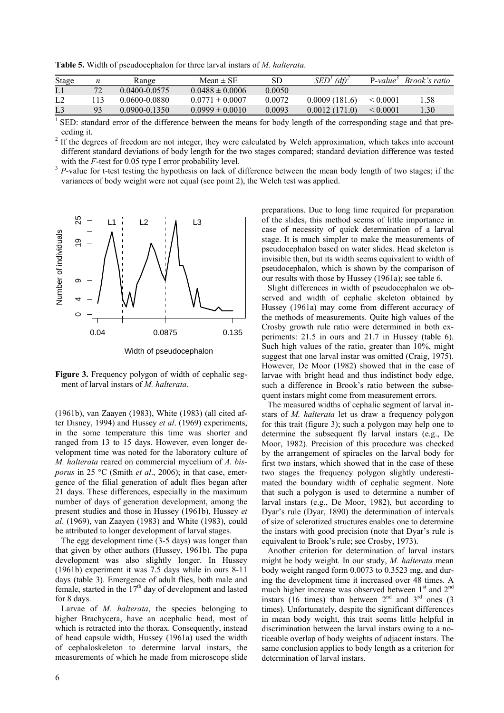**Table 5.** Width of pseudocephalon for three larval instars of *M. halterata*.

| Stage          |    | Range             | $Mean \pm SE$       | SD     | (df)<br>SED'  | $P-value^3$   | <sup>3</sup> Brook's ratio |
|----------------|----|-------------------|---------------------|--------|---------------|---------------|----------------------------|
| L1             |    | $0.0400 - 0.0575$ | $0.0488 \pm 0.0006$ | 0.0050 |               |               |                            |
| L <sub>2</sub> |    | 0.0600-0.0880     | $0.0771 \pm 0.0007$ | 0.0072 | 0.0009(181.6) | $\leq 0.0001$ | l.58                       |
| L3             | 93 | $0.0900 - 0.1350$ | $0.0999 \pm 0.0010$ | 0.0093 | 0.0012(171.0) | $\leq 0.0001$ | .30                        |

 $1$  SED: standard error of the difference between the means for body length of the corresponding stage and that preceding it.

<sup>2</sup> If the degrees of freedom are not integer, they were calculated by Welch approximation, which takes into account different standard deviations of body length for the two stages compared; standard deviation difference was tested with the *F*-test for 0.05 type I error probability level.<br><sup>3</sup> *P*-value for t-test testing the hypothesis on lack of difference between the mean body length of two stages; if the

variances of body weight were not equal (see point 2), the Welch test was applied.



Width of pseudocephalon

**Figure 3.** Frequency polygon of width of cephalic segment of larval instars of *M. halterata*.

(1961b), van Zaayen (1983), White (1983) (all cited after Disney, 1994) and Hussey *et al*. (1969) experiments, in the some temperature this time was shorter and ranged from 13 to 15 days. However, even longer development time was noted for the laboratory culture of *M. halterata* reared on commercial mycelium of *A. bisporus* in 25 °C (Smith *et al*., 2006); in that case, emergence of the filial generation of adult flies began after 21 days. These differences, especially in the maximum number of days of generation development, among the present studies and those in Hussey (1961b), Hussey *et al*. (1969), van Zaayen (1983) and White (1983), could be attributed to longer development of larval stages.

The egg development time (3-5 days) was longer than that given by other authors (Hussey, 1961b). The pupa development was also slightly longer. In Hussey (1961b) experiment it was 7.5 days while in ours 8-11 days (table 3). Emergence of adult flies, both male and female, started in the  $17<sup>th</sup>$  day of development and lasted for 8 days.

Larvae of *M. halterata*, the species belonging to higher Brachycera, have an acephalic head, most of which is retracted into the thorax. Consequently, instead of head capsule width, Hussey (1961a) used the width of cephaloskeleton to determine larval instars, the measurements of which he made from microscope slide preparations. Due to long time required for preparation of the slides, this method seems of little importance in case of necessity of quick determination of a larval stage. It is much simpler to make the measurements of pseudocephalon based on water slides. Head skeleton is invisible then, but its width seems equivalent to width of pseudocephalon, which is shown by the comparison of our results with those by Hussey (1961a); see table 6.

Slight differences in width of pseudocephalon we observed and width of cephalic skeleton obtained by Hussey (1961a) may come from different accuracy of the methods of measurements. Quite high values of the Crosby growth rule ratio were determined in both experiments: 21.5 in ours and 21.7 in Hussey (table 6). Such high values of the ratio, greater than 10%, might suggest that one larval instar was omitted (Craig, 1975). However, De Moor (1982) showed that in the case of larvae with bright head and thus indistinct body edge, such a difference in Brook's ratio between the subsequent instars might come from measurement errors.

The measured widths of cephalic segment of larval instars of *M. halterata* let us draw a frequency polygon for this trait (figure 3); such a polygon may help one to determine the subsequent fly larval instars (e.g., De Moor, 1982). Precision of this procedure was checked by the arrangement of spiracles on the larval body for first two instars, which showed that in the case of these two stages the frequency polygon slightly underestimated the boundary width of cephalic segment. Note that such a polygon is used to determine a number of larval instars (e.g., De Moor, 1982), but according to Dyar's rule (Dyar, 1890) the determination of intervals of size of sclerotized structures enables one to determine the instars with good precision (note that Dyar's rule is equivalent to Brook's rule; see Crosby, 1973).

Another criterion for determination of larval instars might be body weight. In our study, *M. halterata* mean body weight ranged form 0.0073 to 0.3523 mg, and during the development time it increased over 48 times. A much higher increase was observed between 1st and 2<sup>nd</sup> instars (16 times) than between  $2<sup>nd</sup>$  and  $3<sup>rd</sup>$  ones (3) times). Unfortunately, despite the significant differences in mean body weight, this trait seems little helpful in discrimination between the larval instars owing to a noticeable overlap of body weights of adjacent instars. The same conclusion applies to body length as a criterion for determination of larval instars.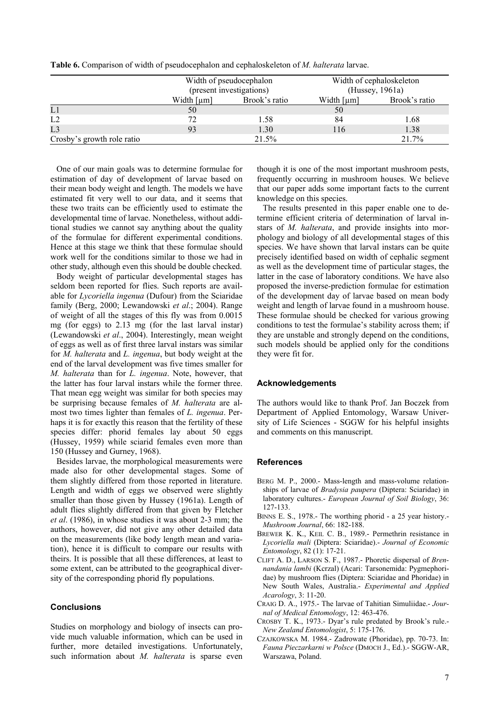|                            |                             | Width of pseudocephalon | Width of cephaloskeleton |               |  |  |
|----------------------------|-----------------------------|-------------------------|--------------------------|---------------|--|--|
|                            | (present investigations)    |                         | (Hussey, 1961a)          |               |  |  |
|                            | Width $\lceil \mu m \rceil$ | Brook's ratio           |                          | Brook's ratio |  |  |
| L1                         | 50                          |                         | 50                       |               |  |  |
| L2                         | 72                          | 1.58                    | 84                       | 1.68          |  |  |
| L3                         | 93                          | 1.30                    | 116                      | 1.38          |  |  |
| Crosby's growth role ratio |                             | 21.5%                   |                          | 21.7%         |  |  |

**Table 6.** Comparison of width of pseudocephalon and cephaloskeleton of *M. halterata* larvae.

One of our main goals was to determine formulae for estimation of day of development of larvae based on their mean body weight and length. The models we have estimated fit very well to our data, and it seems that these two traits can be efficiently used to estimate the developmental time of larvae. Nonetheless, without additional studies we cannot say anything about the quality of the formulae for different experimental conditions. Hence at this stage we think that these formulae should work well for the conditions similar to those we had in other study, although even this should be double checked.

Body weight of particular developmental stages has seldom been reported for flies. Such reports are available for *Lycoriella ingenua* (Dufour) from the Sciaridae family (Berg, 2000; Lewandowski *et al*.; 2004). Range of weight of all the stages of this fly was from 0.0015 mg (for eggs) to 2.13 mg (for the last larval instar) (Lewandowski *et al*., 2004). Interestingly, mean weight of eggs as well as of first three larval instars was similar for *M. halterata* and *L. ingenua*, but body weight at the end of the larval development was five times smaller for *M. halterata* than for *L. ingenua*. Note, however, that the latter has four larval instars while the former three. That mean egg weight was similar for both species may be surprising because females of *M. halterata* are almost two times lighter than females of *L. ingenua*. Perhaps it is for exactly this reason that the fertility of these species differ: phorid females lay about 50 eggs (Hussey, 1959) while sciarid females even more than 150 (Hussey and Gurney, 1968).

Besides larvae, the morphological measurements were made also for other developmental stages. Some of them slightly differed from those reported in literature. Length and width of eggs we observed were slightly smaller than those given by Hussey (1961a). Length of adult flies slightly differed from that given by Fletcher *et al*. (1986), in whose studies it was about 2-3 mm; the authors, however, did not give any other detailed data on the measurements (like body length mean and variation), hence it is difficult to compare our results with theirs. It is possible that all these differences, at least to some extent, can be attributed to the geographical diversity of the corresponding phorid fly populations.

## **Conclusions**

Studies on morphology and biology of insects can provide much valuable information, which can be used in further, more detailed investigations. Unfortunately, such information about *M. halterata* is sparse even

though it is one of the most important mushroom pests, frequently occurring in mushroom houses. We believe that our paper adds some important facts to the current knowledge on this species.

The results presented in this paper enable one to determine efficient criteria of determination of larval instars of *M. halterata*, and provide insights into morphology and biology of all developmental stages of this species. We have shown that larval instars can be quite precisely identified based on width of cephalic segment as well as the development time of particular stages, the latter in the case of laboratory conditions. We have also proposed the inverse-prediction formulae for estimation of the development day of larvae based on mean body weight and length of larvae found in a mushroom house. These formulae should be checked for various growing conditions to test the formulae's stability across them; if they are unstable and strongly depend on the conditions, such models should be applied only for the conditions they were fit for.

## **Acknowledgements**

The authors would like to thank Prof. Jan Boczek from Department of Applied Entomology, Warsaw University of Life Sciences - SGGW for his helpful insights and comments on this manuscript.

#### **References**

- BERG M. P., 2000.- Mass-length and mass-volume relationships of larvae of *Bradysia paupera* (Diptera: Sciaridae) in laboratory cultures.- *European Journal of Soil Biology*, 36: 127-133.
- BINNS E. S., 1978.- The worthing phorid a 25 year history.- *Mushroom Journal*, 66: 182-188.
- BREWER K. K., KEIL C. B., 1989.- Permethrin resistance in *Lycoriella mali* (Diptera: Sciaridae).- *Journal of Economic Entomology*, 82 (1): 17-21.
- CLIFT A. D., LARSON S. F., 1987.- Phoretic dispersal of *Brennandania lambi* (Kcrzal) (Acari: Tarsonemida: Pygmephoridae) by mushroom flies (Diptera: Sciaridae and Phoridae) in New South Wales, Australia.- *Experimental and Applied Acarology*, 3: 11-20.
- CRAIG D. A., 1975.- The larvae of Tahitian Simuliidae.- *Journal of Medical Entomology*, 12: 463-476.
- CROSBY T. K., 1973.- Dyar's rule predated by Brook's rule.- *New Zealand Entomologist*, 5: 175-176.
- CZAJKOWSKA M. 1984.- Zadrowate (Phoridae), pp. 70-73. In: *Fauna Pieczarkarni w Polsce* (DMOCH J., Ed.).- SGGW-AR, Warszawa, Poland.